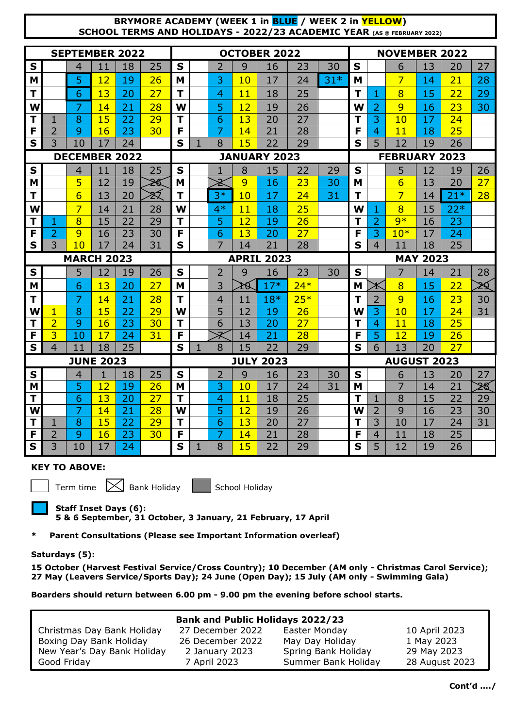## **BRYMORE ACADEMY (WEEK 1 in BLUE / WEEK 2 in YELLOW) SCHOOL TERMS AND HOLIDAYS - 2022/23 ACADEMIC YEAR (AS @ FEBRUARY 2022)**

|                      |                | <b>SEPTEMBER 2022</b> |                |                  |                     |                   |   |                |    | <b>OCTOBER 2022</b> |                      |                 |             |                | <b>NOVEMBER 2022</b> |    |                 |        |
|----------------------|----------------|-----------------------|----------------|------------------|---------------------|-------------------|---|----------------|----|---------------------|----------------------|-----------------|-------------|----------------|----------------------|----|-----------------|--------|
| $\mathbf{s}$         |                | 4                     | 11             | 18               | 25                  | $\mathbf S$       |   | 2              | 9  | 16                  | 23                   | 30              | S           |                | 6                    | 13 | 20              | 27     |
| M                    |                | 5                     | 12             | 19               | 26                  | M                 |   | 3              | 10 | 17                  | 24                   | $31*$           | M           |                | $\overline{7}$       | 14 | 21              | 28     |
| T                    |                | 6                     | 13             | 20               | $\overline{27}$     | T                 |   | 4              | 11 | 18                  | 25                   |                 | т           | 1              | 8                    | 15 | $\overline{22}$ | 29     |
| W                    |                | 7                     | 14             | 21               | 28                  | W                 |   | 5              | 12 | 19                  | 26                   |                 | W           | $\overline{2}$ | 9                    | 16 | 2 <sub>3</sub>  | 30     |
| Т                    | $\overline{1}$ | 8                     | 15             | 22               | 29                  | T                 |   | 6              | 13 | 20                  | 27                   |                 | T           | 3              | 10                   | 17 | 24              |        |
| F                    | $\overline{2}$ | 9                     | 16             | 23               | 30                  | F                 |   | 7              | 14 | $\overline{21}$     | 28                   |                 | F           | 4              | 11                   | 18 | 25              |        |
| S                    | 3              | 10                    | 17             | 24               |                     | $\mathbf S$       | 1 | 8              | 15 | 22                  | 29                   |                 | S           | 5              | 12                   | 19 | 26              |        |
| <b>DECEMBER 2022</b> |                |                       |                |                  | <b>JANUARY 2023</b> |                   |   |                |    |                     | <b>FEBRUARY 2023</b> |                 |             |                |                      |    |                 |        |
| ${\mathsf S}$        |                | 4                     | 11             | 18               | 25                  | $\mathbf S$       |   | 1              | 8  | 15                  | 22                   | 29              | S           |                | 5                    | 12 | 19              | 26     |
| M                    |                | 5                     | 12             | 19               | 26                  | M                 |   | ż              | 9  | 16                  | 23                   | 30              | M           |                | 6                    | 13 | 20              | 27     |
| T                    |                | 6                     | 13             | 20               | ষ্ঠ                 | T                 |   | $3*$           | 10 | 17                  | 24                   | 31              | T           |                | $\overline{7}$       | 14 | $21*$           | 28     |
| W                    |                | 7                     | 14             | 21               | 28                  | W                 |   | $4*$           | 11 | 18                  | 25                   |                 | W           | 1              | 8                    | 15 | $22*$           |        |
| Т                    | 1              | $\overline{8}$        | 15             | 22               | 29                  | T                 |   | 5              | 12 | 19                  | 26                   |                 | т           | $\overline{2}$ | $9*$                 | 16 | 23              |        |
| F                    | $\overline{2}$ | 9                     | 16             | 23               | 30                  | F                 |   | 6              | 13 | 20                  | 27                   |                 | F           | 3              | $10*$                | 17 | 24              |        |
| $\mathbf S$          | 3              | 10                    | 17             | 24               | 31                  | $\mathbf S$       |   | 7              | 14 | $\overline{21}$     | 28                   |                 | S           | $\overline{4}$ | 11                   | 18 | 25              |        |
|                      |                | <b>MARCH 2023</b>     |                |                  |                     | <b>APRIL 2023</b> |   |                |    |                     |                      | <b>MAY 2023</b> |             |                |                      |    |                 |        |
| S                    |                | 5                     | 12             | 19               | 26                  | $\mathbf S$       |   | $\overline{2}$ | 9  | 16                  | 23                   | 30              | $\mathbf S$ |                | $\overline{7}$       | 14 | 21              | 28     |
| M                    |                | 6                     | 13             | 20               | $\overline{27}$     | M                 |   | 3              | rØ | $17*$               | $24*$                |                 | M           | $\mathbb X$    | 8                    | 15 | $\overline{22}$ | ≵ই     |
| т                    |                | 7                     | 14             | 21               | 28                  | T                 |   | $\overline{4}$ | 11 | $18*$               | $25*$                |                 | T           | $\overline{2}$ | 9                    | 16 | 23              | 30     |
| W                    | $\mathbf{1}$   | 8                     | 15             | 22               | 29                  | W                 |   | 5              | 12 | 19                  | 26                   |                 | W           | 3              | 10                   | 17 | 24              | 31     |
| T                    | $\overline{2}$ | 9                     | 16             | 23               | 30                  | T                 |   | 6              | 13 | 20                  | 27                   |                 | $\mathbf T$ | 4              | 11                   | 18 | 25              |        |
| F                    | $\overline{3}$ | 10                    | 17             | 24               | 31                  | F                 |   |                | 14 | 21                  | 28                   |                 | F           | 5              | 12                   | 19 | 26              |        |
| $\mathbf S$          | 4              | 11                    | 18             | 25               |                     | S                 | 1 | 8              | 15 | 22                  | 29                   |                 | S           | 6              | 13                   | 20 | 27              |        |
| <b>JUNE 2023</b>     |                |                       |                | <b>JULY 2023</b> |                     |                   |   |                |    | <b>AUGUST 2023</b>  |                      |                 |             |                |                      |    |                 |        |
| $\mathbf S$          |                | $\overline{4}$        | $\overline{1}$ | 18               | 25                  | S                 |   | $\overline{2}$ | 9  | 16                  | 23                   | 30              | $\mathbf S$ |                | 6                    | 13 | 20              | 27     |
| M                    |                | 5                     | 12             | 19               | 26                  | M                 |   | 3              | 10 | 17                  | 24                   | 31              | M           |                | 7                    | 14 | 21              | স্বৰ্থ |
| т                    |                | 6                     | 13             | 20               | 27                  | T                 |   | $\overline{4}$ | 11 | 18                  | 25                   |                 | T           | $\overline{1}$ | 8                    | 15 | 22              | 29     |
| W                    |                | 7                     | 14             | 21               | 28                  | W                 |   | 5              | 12 | 19                  | 26                   |                 | W           | $\overline{2}$ | 9                    | 16 | 23              | 30     |
| T                    | 1              | 8                     | 15             | 22               | 29                  | T                 |   | 6              | 13 | 20                  | 27                   |                 | Т           | 3              | 10                   | 17 | 24              | 31     |
| F                    | $\overline{2}$ | 9                     | 16             | 23               | 30                  | F                 |   | 7              | 14 | 21                  | 28                   |                 | F           | $\overline{4}$ | 11                   | 18 | 25              |        |
| S                    | 3              | 10                    | 17             | 24               |                     | S                 | 1 | 8              | 15 | 22                  | 29                   |                 | S           | 5              | 12                   | 19 | 26              |        |

## **KEY TO ABOVE:**

Term time  $\boxtimes$  Bank Holiday School Holiday

**Staff Inset Days (6): 5 & 6 September, 31 October, 3 January, 21 February, 17 April**

**\* Parent Consultations (Please see Important Information overleaf)**

## **Saturdays (5):**

**15 October (Harvest Festival Service/Cross Country); 10 December (AM only - Christmas Carol Service); 27 May (Leavers Service/Sports Day); 24 June (Open Day); 15 July (AM only - Swimming Gala)**

**Boarders should return between 6.00 pm - 9.00 pm the evening before school starts.** 

| <b>Bank and Public Holidays 2022/23</b> |                  |                     |                |  |  |  |  |  |
|-----------------------------------------|------------------|---------------------|----------------|--|--|--|--|--|
| Christmas Day Bank Holiday              | 27 December 2022 | Easter Monday       | 10 April 2023  |  |  |  |  |  |
| <b>Boxing Day Bank Holiday</b>          | 26 December 2022 | May Day Holiday     | 1 May 2023     |  |  |  |  |  |
| New Year's Day Bank Holiday             | 2 January 2023   | Spring Bank Holiday | 29 May 2023    |  |  |  |  |  |
| Good Friday                             | 7 April 2023     | Summer Bank Holiday | 28 August 2023 |  |  |  |  |  |